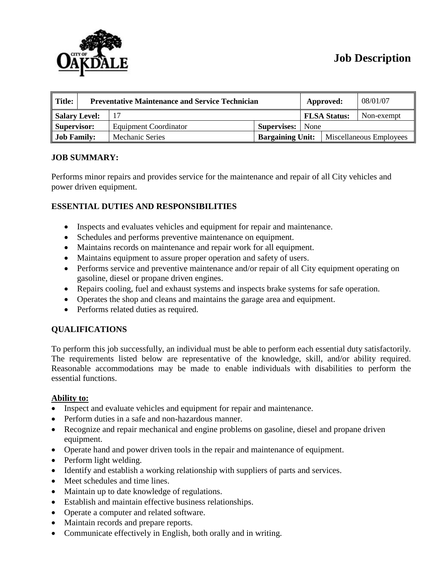

# **Job Description**

| $\parallel$ Title: | <b>Preventative Maintenance and Service Technician</b> |                              |                         |      | Approved:               | 08/01/07   |
|--------------------|--------------------------------------------------------|------------------------------|-------------------------|------|-------------------------|------------|
| Salary Level:      |                                                        |                              |                         |      | <b>FLSA Status:</b>     | Non-exempt |
| Supervisor:        |                                                        | <b>Equipment Coordinator</b> | Supervises:             | None |                         |            |
| <b>Job Family:</b> |                                                        | <b>Mechanic Series</b>       | <b>Bargaining Unit:</b> |      | Miscellaneous Employees |            |

#### **JOB SUMMARY:**

Performs minor repairs and provides service for the maintenance and repair of all City vehicles and power driven equipment.

## **ESSENTIAL DUTIES AND RESPONSIBILITIES**

- Inspects and evaluates vehicles and equipment for repair and maintenance.
- Schedules and performs preventive maintenance on equipment.
- Maintains records on maintenance and repair work for all equipment.
- Maintains equipment to assure proper operation and safety of users.
- Performs service and preventive maintenance and/or repair of all City equipment operating on gasoline, diesel or propane driven engines.
- Repairs cooling, fuel and exhaust systems and inspects brake systems for safe operation.
- Operates the shop and cleans and maintains the garage area and equipment.
- Performs related duties as required.

## **QUALIFICATIONS**

To perform this job successfully, an individual must be able to perform each essential duty satisfactorily. The requirements listed below are representative of the knowledge, skill, and/or ability required. Reasonable accommodations may be made to enable individuals with disabilities to perform the essential functions.

#### **Ability to:**

- Inspect and evaluate vehicles and equipment for repair and maintenance.
- Perform duties in a safe and non-hazardous manner.
- Recognize and repair mechanical and engine problems on gasoline, diesel and propane driven equipment.
- Operate hand and power driven tools in the repair and maintenance of equipment.
- Perform light welding.
- Identify and establish a working relationship with suppliers of parts and services.
- Meet schedules and time lines.
- Maintain up to date knowledge of regulations.
- Establish and maintain effective business relationships.
- Operate a computer and related software.
- Maintain records and prepare reports.
- Communicate effectively in English, both orally and in writing.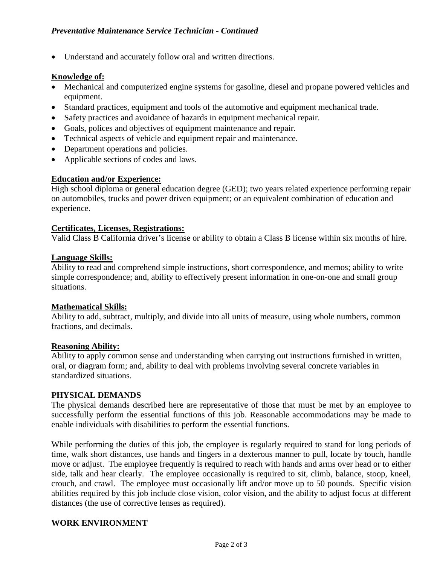• Understand and accurately follow oral and written directions.

### **Knowledge of:**

- Mechanical and computerized engine systems for gasoline, diesel and propane powered vehicles and equipment.
- Standard practices, equipment and tools of the automotive and equipment mechanical trade.
- Safety practices and avoidance of hazards in equipment mechanical repair.
- Goals, polices and objectives of equipment maintenance and repair.
- Technical aspects of vehicle and equipment repair and maintenance.
- Department operations and policies.
- Applicable sections of codes and laws.

#### **Education and/or Experience:**

High school diploma or general education degree (GED); two years related experience performing repair on automobiles, trucks and power driven equipment; or an equivalent combination of education and experience.

#### **Certificates, Licenses, Registrations:**

Valid Class B California driver's license or ability to obtain a Class B license within six months of hire.

#### **Language Skills:**

Ability to read and comprehend simple instructions, short correspondence, and memos; ability to write simple correspondence; and, ability to effectively present information in one-on-one and small group situations.

#### **Mathematical Skills:**

Ability to add, subtract, multiply, and divide into all units of measure, using whole numbers, common fractions, and decimals.

#### **Reasoning Ability:**

Ability to apply common sense and understanding when carrying out instructions furnished in written, oral, or diagram form; and, ability to deal with problems involving several concrete variables in standardized situations.

#### **PHYSICAL DEMANDS**

The physical demands described here are representative of those that must be met by an employee to successfully perform the essential functions of this job. Reasonable accommodations may be made to enable individuals with disabilities to perform the essential functions.

While performing the duties of this job, the employee is regularly required to stand for long periods of time, walk short distances, use hands and fingers in a dexterous manner to pull, locate by touch, handle move or adjust. The employee frequently is required to reach with hands and arms over head or to either side, talk and hear clearly. The employee occasionally is required to sit, climb, balance, stoop, kneel, crouch, and crawl. The employee must occasionally lift and/or move up to 50 pounds. Specific vision abilities required by this job include close vision, color vision, and the ability to adjust focus at different distances (the use of corrective lenses as required).

#### **WORK ENVIRONMENT**